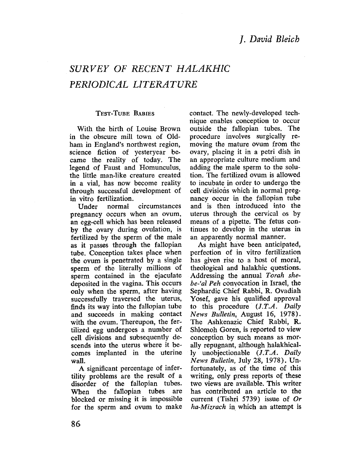# SURVEY OF RECENT HALAKHIC PERIODICAL LITERATURE

## TEST-TuBE BABIES

With the birth of Louise Brown in the obscure mill town of Oldham in England's northwest region, science fiction of yesteryear became the reality of today. The legend of Faust and Homunculus, the little man-like creature created in a vial, has now become reality through successful development of in vitro fertilization.

Under normal circumstances pregnancy occurs when an ovum, an egg-cell which has been released by the ovary during ovulation, is fertilzed by the sperm of the male as it passes through the fallopian tube. Conception takes place when the ovum is penetrated by a single sperm of the literally millions of sperm contained in the ejaculate deposited in the vagina. This occurs only when the sperm, after having successfully traversed the uterus, finds its way into the fallopian tube and succeeds in making contact with the ovum. Thereupon, the fertilized egg undergoes a number of cell divisions and subsequently descends into the uterus where it becomes implanted in the uterine wall.

A significant percentage of infertilty problems are the result of a disorder of the fallopian tubes. When the fallopian tubes are blocked or missing it is impossible for the sperm and ovum to make

contact. The newly-developed technique enables conception to occur outside the fallopian tubes. The procedure involves surgically removing the mature ovum from the ovary, placing it in a petri dish in an appropriate culture medium and adding the male sperm to the solution. The fertilzed ovum is allowed to incubate in order to undergo the cell divisions which in normal pregnancy occur in the fallopian tube and is then introduced into the uterus through the cervical os by means of a pipette. The fetus continues to develop in the uterus in an apparently normal manner.

As might have been anticipated, perfection of in vitro fertilzation has given rise to a host of moral, theological and halakhic questions. Addressing the annual Torah shebe-'al Peh convocation in Israel, the Sephardic Chief Rabbi, R. Ovadiah Yosef, gave his qualified approval to this procedure  $(J.T.A.$  Daily News Bulletin, August 16, 1978). The Ashkenazic Chief Rabbi, R. Shlomoh Goren, is reported to view conception by such means as morally repugnant, although halakhical. ly unobjectionable (J.T.A. Daily News Bulletin, July 28, 1978). Unfortunately, as of the time of this writing, only press reports of these two views are available. This writer has contributed an article to the current (Tishri 5739) issue of  $Or$ ha-Mizrach in which an attempt is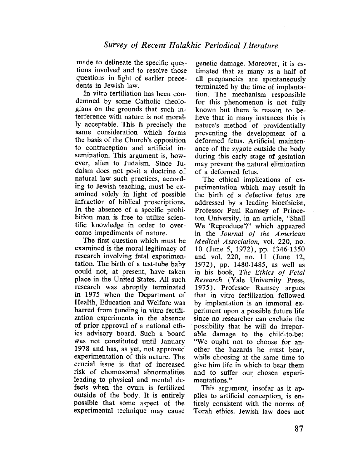made to delineate the specific questions involved and to resolve those questions in light of earlier precedents in Jewish law.

In vitro fertilation has been condemned by some Catholic theologians on the grounds that such interference with nature is not morally acceptable. This 1s precisely the same consideration which forms the basis of the Church's opposition to contraception and artificial insemination. This argument is, however, alien to Judaism. Since Ju. daism does not posit a doctrine of natural law such practices, according to Jewish teaching, must be examined solely in light of possible infraction of biblical proscriptions. In the absence of a specific prohibition man is free to utilize scientific knowledge in order to overcome impediments of nature.

The first question which must be examined is the moral legitimacy of research involving fetal experimentation. The birth of a test-tube baby could not, at present, have taken place in the United States. All such research was abruptly terminated in 1975 when the Department of Health, Education and Welfare was barred from funding in vitro fertilization experiments in the absence of prior approval of a national ethics advisory board. Such a board was not constituted until January 1978 and has, as yet, not approved experimentation of this nature. The crucial issue is that of increased risk of chomosomal abnormalities leading to physical and mental defects when the ovum is fertilized outside of the body. It is entirely possible that some aspect of the experimental technique may cause

genetic damage. Moreover, it is estimated that as many as a half of all pregnancies are spontaneously terminated by the time of implantation. The mechanism responsible for this phenomenon is not fully known but there is reason to believe that in many instances this is nature's method of providentially preventing the development of a deformed fetus. Artificial maintenance of the zygote outside the body during this early stage of gestation may prevent the natural elimination of a deformed fetus.

The ethical implications of experimentation which may result in the birth of a defective fetus are addressed by a leading bioethicist, Professor Paul Ramsey of Princeton University, in an article, "Shall We 'Reproduce'?" which appeared in the Journal of the American Medical Association, vol. 220, no. 10 (June 5, 1972), pp. 1346-1350 and voL. 220, no. 11 (June 12, 1972), pp. 1480-1485, as well as in his book, The Ethics of Fetal Research (Yale University Press, 1975). Professor Ramsey argues that in vitro fertilzation followed by implantation is an immoral experiment upon a possible future life since no researcher can exclude the possibilty that he wil do irreparable damage to the child-to-be: "We ought not to choose for anöther the hazards he must bear, while choosing at the same time to give him life in which to bear them and to suffer our chosen experimentations. "

This argument, insofar as it applies to artificial conception, is entirely consistent with the norms of Torah ethics. Jewish law does not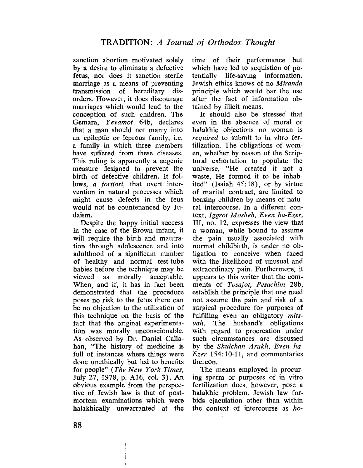sanction abortion motivated solely by a desire to eliminate a defective fetus, nor does it sanction sterile marriage as a means of preventing transmission of hereditary disorders. However, it does discourage marriages which would lead to the conception of such children. The Gemara, Yevamot 64b, declares that a man should not marry into an epileptic or leprous family, i.e. a family in which three members have suffered from these diseases. This ruling is apparently a eugenic measure designed to prevent the birth of defective children. It follows, a fortiori, that overt intervention in natural processes which might cause defects in the feus would not be countenanced by Judaism.

Despite the happy initial success in the case of the Brown infant, it will require the birth and maturation through adolescence and into adulthood of a significant number of healthy and normal test-tube babies before the technique may be viewed as morally acceptable. When, and if, it has in fact been demonstrated that the procedure poses no risk to the fetus there can be no objection to the utilzation of this technique on the basis of the fact that the original experimentation was morally unconscionable. As observed by Dr. Daniel Callahan, "The history of medicine is full of instances where things were done unethically but led to benefits for people" ( The New York Times, July 27, 1978, p. A16, col. 3). An obvious example from the perspective of Jewish law is that of postmortem examinations which were halakhically unwarranted at the

time of their performance but which have led to acquistion of potentially life-saving information. Jewish ethics knows of no Miranda principle which would bar the use after the fact of information obtained by ilicit means.

It should also be stressed that even in the absence of moral or halakhic objections no woman is required to submit to in vitro fertilzation. The obligations of women, whether by reason of the Scriptural exhortation to populate the universe, "He created it not a waste, He formed it to be inhabited" (Isaiah 45:18), or by virtue of marital contract, are limited to bearing children by means of natural intercourse. In a different context, Iggrot Mosheh, Even ha-Ezer, III, no. 12, expresses the view that a woman, while bound to assume the pain usually associated with normal childbirth, is under no obligation to conceive when faced with the likelihood of unusual and extraordinary pain. Furthermore, it appears to this writer that the comments of Tosafot, Pesachim 28b, establish the principle that one need not assume the pain and risk of a surgical procedure for purposes of fulfilling even an obligatory mitsvah. The husband's obligations with regard to procreation under such circumstances are discussed by the Shulchan Arukh, Even ha-Ezer 154: 10-11, and commentaries thereon.

The means employed in procuring sperm or purposes of in vitro fertilzation does, however, pose a halakhic problem. Jewish law forbids ejaculation other than within the context of intercourse as ho-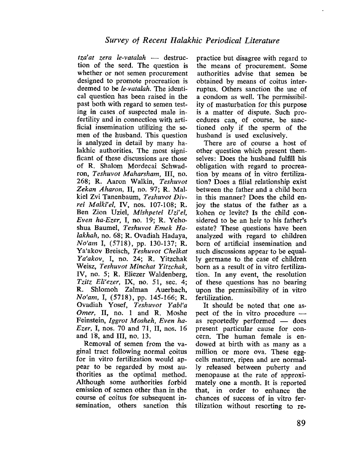$tza'at$  zera le-vatalah — destruction of the seed. The question is whether or not semen procurement designed to promote procreation is deemed to be le-vatalah. The identical question has been raised in the past both with regard to semen testing in cases. of suspected male infertility and in connection with artificial insemination utilizing the semen of the husband. This question is analyzed in detail by many halakhic authorities. The most significant of these discussions are those of R. Shalom Mordecai Schwadron, Teshuvot Maharsham, III, no. 268; R. Aaron Walkin, Teshuvot Zekan Aharon, II, no. 97; R. Mal. kiel Zvi Tanenbaum, Teshuvot Divrei Malki'el, IV, nos. 107-108; R. Ben Zion Uziel, Mishpetei Uzi'el, Even ha-Ezer, I, no. 19; R. Yehoshua Baumel, Teshuvot Emek Halakhah, no. 68; R. Ovadiah Hadaya, No'am I, (5718), pp. 130-137; R. Ya'akov Breisch, Teshuvot Chelkat Ya'akov, I, no. 24; R. Yitzchak Weisz, Teshuvot Minchat Yitzchak, IV, no. 5; R. Eliezer Waldenberg, Tzitz Eli'ezer, IX, no. 51, sec. 4; R. Shlomoh Zalman Auerbach, No'am, I, (5718), pp. 145-166; R. Ovadiah Yosef, Teshuvot Yabi'a Omer, II, no. 1 and R. Moshe Feinstein, *Iggrot Mosheh*, Even ha-Ezer, I, nos. 70 and 71, II, nos. 16 and 1'8, and III, no. 13.

Removal of semen from the vaginal tract following normal coitus for in vitro fertilzation would appear to be regarded by most authorities as the optimal method. Although some authorities forbid emission of semen other than in the course of coitus for subsequent insemination, others sanction this practice but disagree with regard to the means of procurement. Some authorities advise that semen be obtained by means of coitus interruptus. Others sanction the use of a condom as well. The permissibility of masturbation for this purpose is a matter of dispute. Such procedures can, of course, be sanctioned only if the sperm of the husband is used exclusively.

There are of course a host of other question which present themselves: Does the husband fulfill his obligation with regard to procreation by means of in vitro fertilization? Does a filial relationship exist between the father and a child born in this manner? Does the child enjoy the status of the father as a kohen or levite? Is the child considered to be an heir to his father's estate? These questions have been analyzed with regard to children born of artificial insemination and such discussions appear to be equally germane to the case of children born as a result of in vitro fertilzation. In any event, the resolution of these questions has no bearing upon the permissibilty of in vitro fertilization.

It should be noted that one aspect of the in vitro procedure  $$ as reportedly performed  $-$  does present particular cause for concern. The human female is endowed at birth with as many as a milion or more ova. These eggcells mature, ripen and are normal. ly released between puberty and menopause at the rate of approximately one a month. It is reported that, in order to enhance the chances of success of in vitro fertilzation without resorting to re-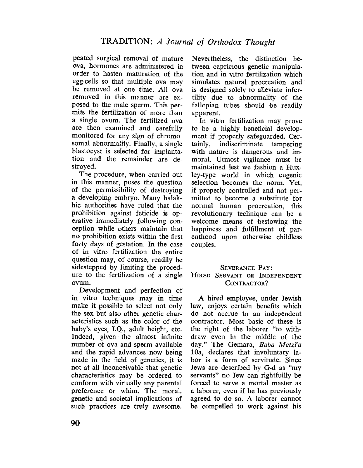peated surgical removal of mature ova, hormones are administered in order to hasten maturation of the egg-cells so that multiple ova may be removed at one time. All ova removed in this manner are exposed to the male sperm. This permits the fertilization of more than a single ovum. The fertilized ova are then examined and carefully monitored for any sign of chromosomal abnormality. Finally, a single blastocyst is selected for implantation. and the remainder are destroyed.

The procedure, when carried out in this manner, poses the question of the permissibilty of destroying a developing embryo. Many halakhic authorities have ruled that the prohibition against feticide is operative immediately following conception while others maintain that no prohibition exists within the first forty days of gestation. In the case of in vitro fertilzation the entire question may, of course, readily be sidestepped by limiting the procedure to the fertilzation of a single ovum.

Development and perfection of in vitro techniques may in time make it possible to select not only the sex but also other genetic characteristics such as the color of the baby's eyes, LQ., adult height, etc. Indeed, given. the almost infinite number of ova and sperm available and the rapid advances now being made in the field of genetics, it is not at all inconceivable that genetic characteristics may be ordered to conform with virtually any parental preference or whim. The moral, genetic and societal implications of such practices are truly awesome.

Nevertheless, the distinction between capricious genetic manipulation and in vitro fertilization which simulates natural procreation and' is designed solely to alleviate infertilty due to abnormality of the fallopian tubes should be readily apparent.

In vitro fertilization may prove to be a highly beneficial development if properly safeguarded. Certainly, indiscriminate tampering with nature is dangerous and immoraL. Utmost vigilance must be maintained lest we fashion a Huxley-type world in which eugenic selection becomes the norm. Yet, if properly controlled and not permitted to become a substitute for normal human procreation, this revolutionary technique can be a welcome means of bestowing the happiness and fulfillment of parenthood upon otherwise childless couples.

# SEVERANCE PAY: HIRED SERVANT OR INDEPENDENT CONTRACTOR?

A hired employee, under Jewish law, enjoys certain benefits which do not accrue to an independent contractor. Most basic of these is the right of the laborer "to withdraw even in the middle of the day." The Gemara, Baba Metzi'a lOa, declares that involuntary labor is a form of servitude. Since Jews are described by G-d as "my servants" no Jew can rightfully be forced to serve a mortal master as a laborer, even if he has previously agreed to do so. A laborer cannot be compelled to work against his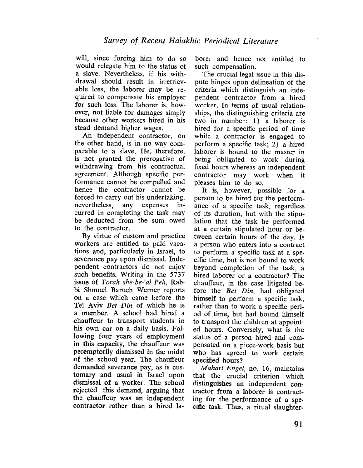wil, since forcing him to do so would relegate him to the status of a slave. Nevertheless, if his withdrawal should result in irretrievable loss, the laborer may be required to compensate his employer for such loss. The laborer is, however, not liable for damages simply because other workers hired in his stead demand higher wages.

An independent contractor, on the other hand, is in no way comparable to a slave. He, therefore, is not granted the prerogative of withdrawing from his contractual agreement. Although specific performance cannot be compelled and hence the contractor cannot be forced to carry out his undertaking, nevertheless, any expenses incurred in completing the task may be deducted from the sum owed to the contractor.

By virtue of custom and practice workers are entitled to paid vacations and, particularly in Israel, to severance pay upon dismissaL. Independent contractors do not enjoy such benefits. Writing in the 5737 issue of Torah she-be-'al Peh, Rabbi Shmuel Baruch Werner reports on a case which came before the Tel Aviv Bet Din of which he is a member. A school had hired a chauffeur to transport students in his own car on a daily basis. Following four years of employment in this capacity, the chauffeur was peremptorily dismissed in the midst of the school year. The chauffeur demanded severance pay, as is customary and usual in Israel upon dismissal of a worker. The school rejected this demand, arguing that the chauffeur was an independent contractor rather than a hired laborer and hence not entitled to such compensation.

The crucial legal issue in this dispute hinges upon delineation of the criteria which distinguish an independent contractor from a hired worker. In terms of usual relationships, the distinguishing criteria are two in number: 1) a laborer is hired for a specific period of time while a contractor is engaged to perform a specific task; 2) a hired laborer is bound to the master in being obligated to work during fixed hours whereas an independent contractor may work when it pleases him to do so.

lt is, however, possible for a person to be hired for the performance of a specific task, regardless of its duration, but with the stipulation that the task be performed at a certain stipulated hour or between certain hours of the day. Is a person who enters into a contract to perform a specific task at a specific time, but is not bound to work beyond completion of the task, a hired laborer or a contractor? The chauffeur, in the case litigated before the Bet Din, had obligated himself to perform a specific task, rather than to work a specific period of time, but had bound himself to transport the children at appointed hours. Conversely, what is the status of a person hired and compensated on a piece-work basis but who has agreed to work certain specified hours?

Mahari. Engel, no. 16, maintains that the crucial criterion which distinguishes an independent contractor from a laborer is contracting for the performance of a specific task. Thus, a ritual slaughter-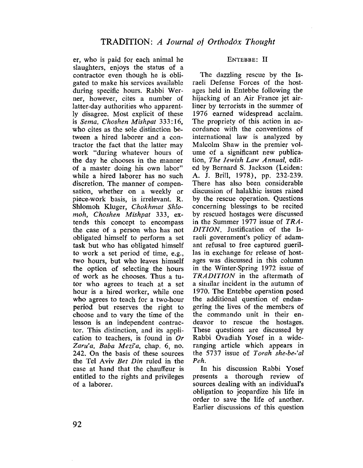er, who is paid for each animal he slaughters, enjoys the status of a contractor even though he is obligated to make his services available during specific hours. Rabbi Werner, however, cites a number of latter-day authorities who apparently disagree. Most explicit of these is Serna, Choshen Mishpat 333: 16, who cites as the sole distinction between a hired laborer and a contractor the fact that the latter may work "during whatever hours of the day he chooses in the manner of a master doing his own labor" while a hired laborer has no such discretion. The manner of compensation, whether on a weekly or piece-work basis, is irrelevant. R. Shlomoh Kluger, Chokhmat Shlomoh, Choshen Mishpat 333, extends this concept to encompass the case of a person who has not obligated himself to perform a set task but who has obligated himself to work a set period of time, e.g., two hours, but who leaves himself the option of selecting the hours of work as he chooses. Thus a tutor who agrees to teach at a set hour is a hired worker, while one who agrees to teach for a two-hour period but reserves the right to choose and to vary the time of the lesson is an independent contractor. This distinction, and its application to teachers, is found in Or Zaru'a, Baba Mezi'a, chap. 6, no. 242. On the basis of these sources the Tel Aviv Bet Din ruled in the case at hand that the chauffeur is entitled to the rights and privileges of a laborer.

#### ENTEBBE: II

The dazzling rescue by the Israeli Defense Forces of the hostages held in Entebbe following the hijacking of an Air France jet airliner by terrorists in the summer of 1976 earned widespread acclaim. The propriety of this action in accordance with the conventions of international law is analyzed by Malcolm Shaw in the premier volume of a significant new publication, The Jewish Law Annual, edited by Bernard S. Jackson (Leiden: A. J. Bril, 1978), pp. 232-239. There has also been considerable discussion of halakhic issues raised by the rescue operation. Questions concerning blessings to be recited by rescued hostages were discussed in the Summer 1977 issue of  $TRA-$ DITION. Justification of the Israeli government's policy of adamant refusal to free captured guerillas in exchange for release of hostages was discussed in this column in the Winter-Spring 1972 issue of TRADITION in the aftermath of a similar incident in the autumn of 1970. The Entebbe operation posed the additional question of endangering the lives of the members of the commando unit in their endeavor to rescue the hostages. These questions are discussed by Rabbi Ovadiah Yosef in a wideranging article which appears in the 5737 issue of Torah she-be-'al Peh.

In his discussion Rabbi Yosef presents a thorough review of sources dealing with an individual's obligation to jeopardize his life in order to save the life of another. Earlier discussions of this question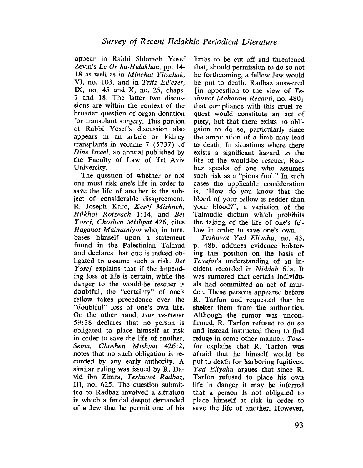appear in Rabbi Shlomoh Yosef Zevin's Le-Or ha-Halakhah, pp. 14- 18 as well as in Minchat Yitzchak, VI, no. 103, and in Tzitz Eli'ezer, IX, no.  $45$  and X, no.  $25$ , chaps. 7 and 18. The latter two discussions are within the context of the broader question of organ donation for transplant surgery. This portion of Rabbi Yosef's discussion also appears in an article on kidney transplants in volume 7 (5737) of Dine Israel, an annual published by the Faculty of Law of Tel Aviv University.

The question of whether or not one must risk one's life in order to save the life of another is the subject of considerable disagreement. R. Joseph Karo, Kesef Mishneh, Hilkhot Rotzeach 1:14, and Bet Yosef, Choshen Mishpat 426, cites Hagahot Maimuniyot who, in turn, bases himself upon a statement found in the Palestinian Talmud and declares that one is indeed obligated to assume such a risk. Bet Yosef explains that if the impending loss of life is certain, while the danger to the would-be rescuer is doubtful, the "certainty" of one's fellow takes precedence over the "doubtful" loss of one's own life. On the other hand, Isur ve-Heter 59: 38 declares that no person is obligated to. place himself at risk in order to save the life of another. Serna, Choshen Mishpat 426:2, notes that no such obligation is recorded by any early authority. A similar ruling was issued by R. David ibn Zimra, Teshuvot Radbaz, III, no. 625. The question submitted to Radbaz involved a situation in which a feudal despot demanded of a Jew that he permit one of his

limbs to be cut off and threatened that, should permission to do so not be forthcoming, a fellow Jew would be put to death. Radbaz answered [in opposition to the view of  $Te$ shuvot Maharam Recanti, no. 480] that compliance with this cruel request would constitute an act of piety, but that there exists no obligaion to do so, particularly since the amputation of a limb may lead to death. In situations where there exists a significant hazard to the life of the would-be rescuer, Radbaz speaks of one who assumes such risk as a "pious fooL." In such cases the applicable consideration is, "How do you know that the blood of your fellow is redder than your blood?", a variation of the Talmudic dictum which prohibits the taking of the life of one's fellow in order to save one's own.

Teshuvot Yad Eliyahu, no. 43, p. 48b, adduces evidence bolstering this position on the basis of Tosafot's understanding of an incident recorded in Niddah 61a. It was rumored that certain individuals had committed an act of murder. These persons appeared before R. Tarfon and requested that he shelter them from the authorities. Although the rumor was unconfirmed, R. Tarfon refused to do so and instead instructed them to find refuge in some other manner. Tosafot explains that R. Tarfon was afraid. that he himself would be put to death for harboring fugitives. Yad Eliyahu argues that since R. Tarfon refused to place his own life in danger it may be inferred that a person is not obligated to place himself at risk in order to save the life of another. However,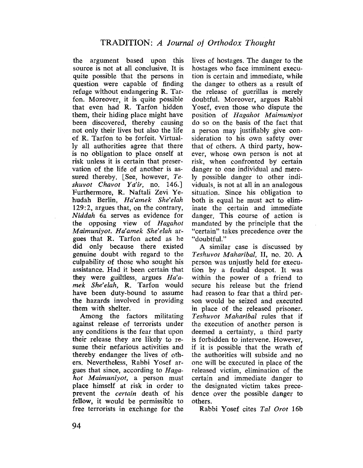the argument based upon this source is not at all conclusive. It is quite possible that the persons in question were capable of finding refuge without endangering R. Tarfon. Moreover, it is quite possible that even had R. Tarfon hidden them, their hiding place might have been discovered, thereby causing not only their lives but also the life of R. Tarfon to be forfeit. Virtually all authorities agree that there is no obligation to place onself at risk unless it is certain that preservation of the life of another is assured thereby. [See, however,  $Te$ shuvot Chavot Ya'ir, no. 146.] Furthermore, R. Naftali Zevi Yehudah Berlin, Ha'amek She'elah 129:2, argues that, on the contrary, Niddah 6a serves as evidence for the opposing view of Hagahot Maimuniyot. Ha'amek She'elah argues that R. Tarfon acted as he did only because there existed genuine doubt with regard to the culpabilty of those who sought his assistance. Had it been certain that they were guiltless, argues  $Ha'a$ mek She'elah, R. Tarfon would have been duty-bound to assume the hazards involved in providing them with shelter.

Among the factors militating against release of terrorists under any conditions is the fear that upon their release they are likely to resume their nefarious activities and thereby endanger the lives of others. Nevertheless, Rabbi Yosef argues that since, according to  $Haga$ hot Maimuniyot, a person must place himself at risk in order to prevent the certain death of his fellow, it would be permissible to free terrorists in exchange for the

lives of hostages. The danger to the hostages who face imminent execution is certain and immediate, while the danger to others as a result of the release of guerilas is merely doubtfuL. Moreover, argues Rabbi Yosef, even those who dispute the position of Hagahot Maimuniyot do so on the basis of the fact that a person may justifiably ,give consideration to his own safety over that of others. A third party, however, whose own person is not at risk, when confronted by certain danger to one individual and merely possible danger to other individuals, is not at all in an analogous situation. Since his obligation to both is equal he must act to eliminate the certain and immediate danger. This course of action is mandated by the principle that the "certain" takes precedence over the "doubtful."

A similar case is discussed by Teshuvot Maharibal, II, no. 20. A person was unjustly held for execution by a feudal despot. It was within the power of a friend to secure his release but the friend had reason to fear that a third person would be seized and executed in place of the released prisoner. Teshuvot Maharibal rules that if the execution of another person is deemed a certainty, a third party is forbidden to intervene. However, if it is possible that the wrath of the authorities will subside and no one will be executed in place of the released victim, elimination of the certain and immediate danger to the designated victim takes precedence over the possible danger to others.

Rabbi Yosef cites Tal Orot 16b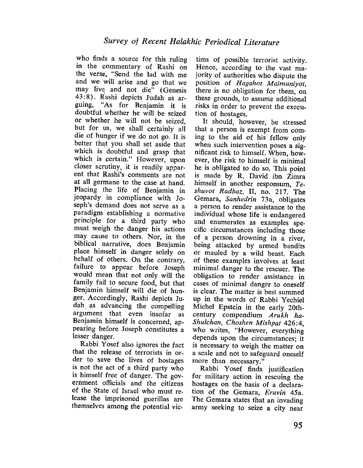who finds a source for this ruling in the commentary of Rashi on the verse, "Send the lad with me and we will arise and go that we may live and not die" (Genesis 43: 8). Rashi depicts Judah as arguing, "As for Benjamin it is doubtful whether he will be seized or whether he will not be seized, but for us, we shall certainly all die of hunger if we do not go. It is better that you shall set aside that which is doubtful and grasp that which is certain." However, upon closer scrutiny, it is readily apparent that Rashi's comments are not at all germane to the case at hand. Placing the life of Benjamin in jeopardy in compliance with Joseph's demand does not serve as a paradigm establishing a normative principle for a third party who must weigh the danger his actions may cause to others. Nor, in the biblical narrative, does Benjamin place himself in danger solely on behalf of others. On the contrary, failure to appear before Joseph would mean that not only will the family fail to secure food, but that Benjamin himself will die of hunger. Accordingly, Rashi depicts Judah as advancing the compelling argument that even insofar as Benjamin himself is concerned, appearing before Joseph constitutes a lesser danger.

Rabbi Yosef also ignores the fact that the release of terrorists in order to save the lives of hostages is not the act of a third party who is himself free of danger. The government officials and the citizens of the State of Israel who must release the imprisoned guerilas are themselves among the potential vic-

tims of possible terrorist activity. Hence, according to the vast majority of authorities who dispute the position of Hagahot Maimuniyot, there is no obligation for them, on these grounds, to assume additional risks in order to prevent the execution of hostages.

It should, however, be stressed that a person is exempt from coming to the aid of his fellow only when such intervention poses a significant risk to himself. When, however, the risk to himself is minimal he is obligated to do so. This point is made by R. David ibn Zimra himself in another responsum, Teshuvot Radbaz, II, no. 217. The Gemara, Sanhedrin 73a, obligates a person to render assistance to the individual whose life is endangered and enumerates as examples specific circumstances including those of a person drowning in a river, being attacked by armed bandits or mauled by a wild beast. Each of these examples involves at least minimal danger to the rescuer. The obligation to render assistance in cases of minimal danger to oneself is clear. The matter is best summed up in the words of Rabbi Yechiel Michel Epstein in the early 20thcentury compendium Arukh ha-Shulchan, Choshen Mishpat 426:4, who writes, "However, everything depends upon the circumstances; it is necessary to weigh the matter on a scale and not to safeguard oneself more than necessary."

Rabbi Yosef finds justification for miltary action in rescuing the hostages on the basis of a declaration of the Gemara, Eruvin 45a. The Gemara states that an invading army seeking to seize a city near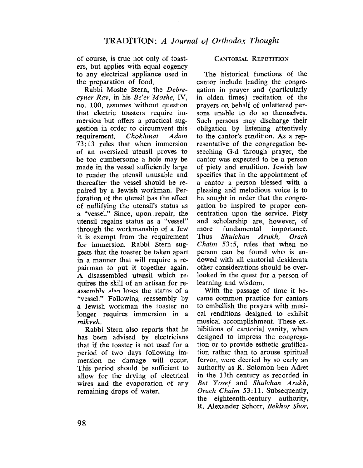of course, is true not only of toasters, but applies with equal cogency to any electrical appliance used in the preparation of food.

Rabbi Moshe Stern, the Debrecyner Rav, in his Be'er Moshe, IV, no. 100, assumes without question that electric toasters require immersion but offers a practical suggestion in order to circumvent. this requirement. Chokhmat Adam 73: 13 rules that when immersion of an oversized utensil proves to be too cumbersome a hole may be made in the vessel sufficiently large to render the utensil unusable and thereafter the vessel should be repaired by a Jewish workman. Perforation of the utensil has the effect of nullifying the utensil's status as a "vesseL." Since, upon repair, the utensil regains status as a "vessel" through the workmanship of a Jew it is exempt from the requirement for immersion. Rabbi Stern suggests that the toaster be taken apart in a manner that will require a repairman to put it together again. A disassembled utensil which requires the skill of an artisan for reassembly also loses the status of a "vesseL." Following reassembly by a Jewish workman the ioaster no longer requires immersion in a mikveh.

Rabbi Stern also reports that he has been advised by electricians that if the toaster is not used for a period of two days following immersion no damage will occur. This period should be sufficient to allow for the drying of electrical wires and the evaporation of any remaining drops of water.

### CANTORIAL REPETITION

The historical functions of the cantor include leading the congregation in prayer and (particularly in olden times) recitation of the prayers on behalf of unlettered persons unable to do so themselves. Such persons may discharge their obligation by listening attentively to the cantor's rendition. As a representative of the congregation beseeching G-d through prayer, the cantor was expected to be a person of piety and erudition. Jewish law specifies that in the appointment of a cantor a person blessed with a pleasing and melodious voice is to be sought in order that the congregation be inspired to proper concentration upon the service. Piety and scholarship are, however, of more fundamental importance. Thus Shulchan Arukh, Orach Chaim 53:5, rules that when no person can be found who is endowed with all cantorial desiderata other considerations should be overlooked in the quest for a person of learning and wisdom.

With the passage of time it became common practice for cantors to embellsh the prayers with musical renditions designed to exhibit musical accomplishment. These exhibitions of cantorial vanity, when designed to impress the congregation or to provide esthetic gratification rather than to arouse spiritual fervor, were decried by so early an authority as R. Solomon ben Adret in the 13<sup>th</sup> century as recorded in Bet Yosef and Shulchan Arukh, Orach Chaim 53: 11. Subsequently, the eighteenth-century authority, R. Alexander Schorr, Bekhor Shor,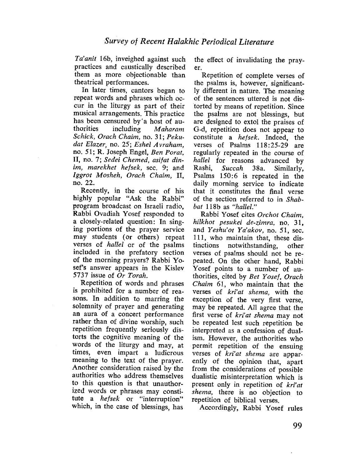Ta'anit 16b, inveighed against such practices and caustically described them as more objectionable than theatrical performances.

In later times, cantors began to repeat words and phrases which occur in the liturgy as part of their musical arrangements. This practice has been censured by'a host of authorities including Maharam Schick, Orach Chaim, no. 31; Pekudat Elazer, no. 25; Eshel Avraham, no. 51; R. Joseph Engel, Ben Porat, II, no. 7; Sedei Chemed, asifat dinim, marekhet hefsek, sec. 9; and 199rot Mosheh, Drach Chaim, II, no. 22.

Recently, in the course of his highly popular "Ask the Rabbi" program broadcast on Israeli radio, Rabbi Ovadiah Yosef responded to a closely-related question: In singing portions of the prayer service may students (or others) repeat verses of *hallel* or of the psalms included in the prefatory section of the morning prayers? Rabbi Yoset's answer appears in the Kislev 5737 issue of Dr Torah.

Repetition of words and phrases is prohibited for a number of reasons. In addition to marring the solemnity of prayer and generating an aura of a concert performance rather than of divine worship, such repetition frequently seriously distorts the cognitive meaning of the words of the liturgy and may, at times, even impart a ludicrous meaning to the text of the prayer. Another consideration raised by the authorities who address themselves to this question is that unauthorized words or phrases may constitute a *hefsek* or "interruption" which, in the case of blessings, has

the effect of invalidating the prayer.

Repetition of complete verses of the psalms is, however, significantly different in nature. The meaning of the sentences uttered is not distorted by means of repetition. Since the psalms are not blessings, but are designed to extol the praises of G-d, repetition does not appear to constitute a *hefsek*. Indeed, the verses of Psalms 118:25-29 are regularly repeated in the course of hallel for reasons advanced by Rashi, Succah 38a. Similarly, Psalms 150:6 is repeated in the daily morning service to indicate that it constitutes the final verse of the section referred to in Shabbat 118b as "hallel."

Rabbi Yosef cites Orchot Chaim, hilkhot pesukei de-zimra, no. 31, and Yeshu'ot Ya'akov, no. 51, sec. 111, who maintain that, these distinctions notwithstanding, other verses of psalms should not be repeated. On the other hand, Rabbi Yosef points to a number of authorities, cited by Bet Yosef, Orach Chaim 61, who maintain that the verses of kri'at shema, with the exception of the very first verse, may be repeated. All agree that the first verse of kri'at shema may not be repeated lest such repetition be interpreted as a confession of dualism. However, the authorities who permit repetition of the ensuing verses of kri'at shema are apparently of the opinion that, apart from the considerations of possible dualistic misinterpretation which is present only in repetition of kri'at shema, there is no objection to repetition of biblical verses.

Accordingly, Rabbi Yosef rules